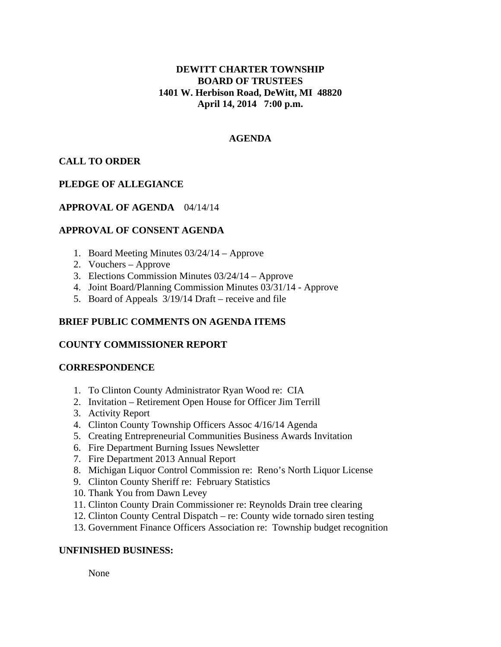# **DEWITT CHARTER TOWNSHIP BOARD OF TRUSTEES 1401 W. Herbison Road, DeWitt, MI 48820 April 14, 2014 7:00 p.m.**

## **AGENDA**

# **CALL TO ORDER**

# **PLEDGE OF ALLEGIANCE**

## **APPROVAL OF AGENDA** 04/14/14

## **APPROVAL OF CONSENT AGENDA**

- 1. Board Meeting Minutes 03/24/14 Approve
- 2. Vouchers Approve
- 3. Elections Commission Minutes 03/24/14 Approve
- 4. Joint Board/Planning Commission Minutes 03/31/14 Approve
- 5. Board of Appeals 3/19/14 Draft receive and file

## **BRIEF PUBLIC COMMENTS ON AGENDA ITEMS**

#### **COUNTY COMMISSIONER REPORT**

#### **CORRESPONDENCE**

- 1. To Clinton County Administrator Ryan Wood re: CIA
- 2. Invitation Retirement Open House for Officer Jim Terrill
- 3. Activity Report
- 4. Clinton County Township Officers Assoc 4/16/14 Agenda
- 5. Creating Entrepreneurial Communities Business Awards Invitation
- 6. Fire Department Burning Issues Newsletter
- 7. Fire Department 2013 Annual Report
- 8. Michigan Liquor Control Commission re: Reno's North Liquor License
- 9. Clinton County Sheriff re: February Statistics
- 10. Thank You from Dawn Levey
- 11. Clinton County Drain Commissioner re: Reynolds Drain tree clearing
- 12. Clinton County Central Dispatch re: County wide tornado siren testing
- 13. Government Finance Officers Association re: Township budget recognition

# **UNFINISHED BUSINESS:**

None